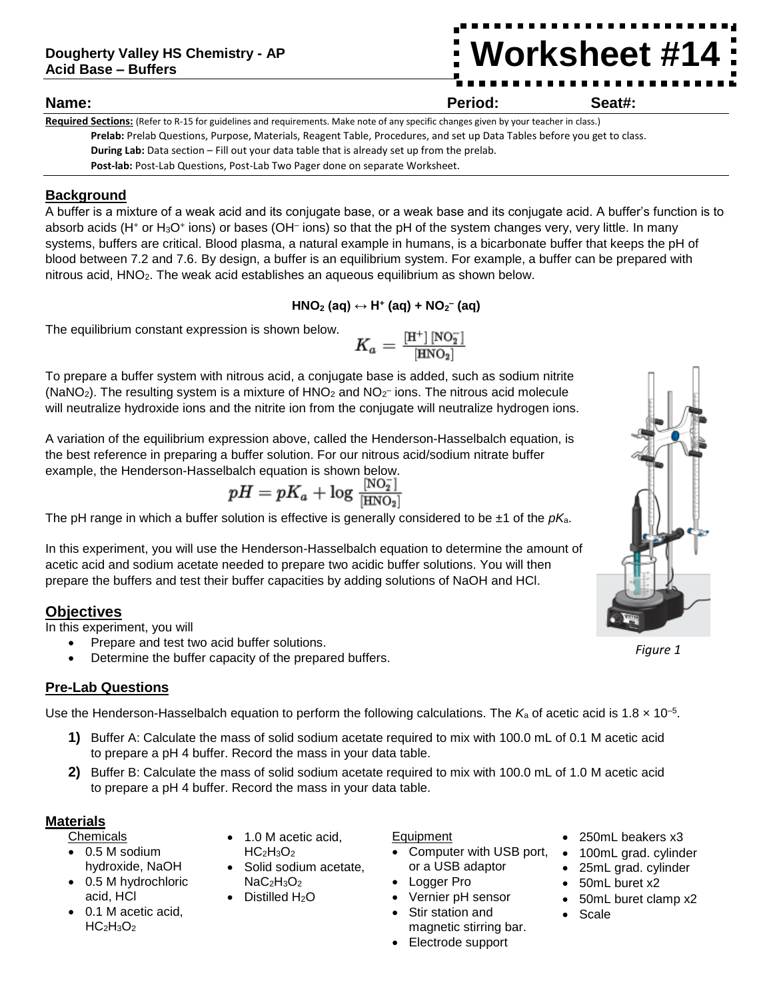# **Worksheet #14**

## **Name: Period: Seat#:**

**Required Sections:** (Refer to R-15 for guidelines and requirements. Make note of any specific changes given by your teacher in class.) **Prelab:** Prelab Questions, Purpose, Materials, Reagent Table, Procedures, and set up Data Tables before you get to class. **During Lab:** Data section – Fill out your data table that is already set up from the prelab. Post-lab: Post-Lab Questions, Post-Lab Two Pager done on separate Worksheet.

# **Background**

A buffer is a mixture of a weak acid and its conjugate base, or a weak base and its conjugate acid. A buffer's function is to absorb acids (H<sup>+</sup> or H<sub>3</sub>O<sup>+</sup> ions) or bases (OH<sup>-</sup> ions) so that the pH of the system changes very, very little. In many systems, buffers are critical. Blood plasma, a natural example in humans, is a bicarbonate buffer that keeps the pH of blood between 7.2 and 7.6. By design, a buffer is an equilibrium system. For example, a buffer can be prepared with nitrous acid, HNO2. The weak acid establishes an aqueous equilibrium as shown below.

$$
HNO2 (aq) \leftrightarrow H+ (aq) + NO2- (aq)
$$

The equilibrium constant expression is shown below.

$$
K_a = \tfrac{[\mathrm{H}^+]\,[\mathrm{NO}_2^-]}{[\mathrm{HNO}_2]}
$$

To prepare a buffer system with nitrous acid, a conjugate base is added, such as sodium nitrite (NaNO<sub>2</sub>). The resulting system is a mixture of  $HNO<sub>2</sub>$  and NO<sub>2</sub><sup>-</sup> ions. The nitrous acid molecule will neutralize hydroxide ions and the nitrite ion from the conjugate will neutralize hydrogen ions.

A variation of the equilibrium expression above, called the Henderson-Hasselbalch equation, is the best reference in preparing a buffer solution. For our nitrous acid/sodium nitrate buffer example, the Henderson-Hasselbalch equation is shown below.

$$
pH=pK_a+\log\tfrac{[\textrm{NO}_2^-]}{[\textrm{HNO}_2]}
$$

The pH range in which a buffer solution is effective is generally considered to be ±1 of the *pK*a.

In this experiment, you will use the Henderson-Hasselbalch equation to determine the amount of acetic acid and sodium acetate needed to prepare two acidic buffer solutions. You will then prepare the buffers and test their buffer capacities by adding solutions of NaOH and HCl.

# **Objectives**

In this experiment, you will

- Prepare and test two acid buffer solutions.
- Determine the buffer capacity of the prepared buffers.

## **Pre-Lab Questions**

Use the Henderson-Hasselbalch equation to perform the following calculations. The  $K_a$  of acetic acid is 1.8  $\times$  10<sup>-5</sup>.

- **1)** Buffer A: Calculate the mass of solid sodium acetate required to mix with 100.0 mL of 0.1 M acetic acid to prepare a pH 4 buffer. Record the mass in your data table.
- **2)** Buffer B: Calculate the mass of solid sodium acetate required to mix with 100.0 mL of 1.0 M acetic acid to prepare a pH 4 buffer. Record the mass in your data table.

## **Materials**

Chemicals

- 0.5 M sodium hydroxide, NaOH
- 0.5 M hydrochloric acid, HCl
- 0.1 M acetic acid, HC<sub>2</sub>H<sub>3</sub>O<sub>2</sub>
- 1.0 M acetic acid,  $HC<sub>2</sub>H<sub>3</sub>O<sub>2</sub>$
- Solid sodium acetate,  $NaC<sub>2</sub>H<sub>3</sub>O<sub>2</sub>$
- Distilled H<sub>2</sub>O

# Equipment

- Computer with USB port, or a USB adaptor
- Logger Pro
- Vernier pH sensor
- Stir station and magnetic stirring bar.
- Electrode support
- 250mL beakers x3
- 100mL grad. cylinder
- 25mL grad. cylinder
- 50mL buret x2
- 50mL buret clamp x2
- Scale



*Figure 1*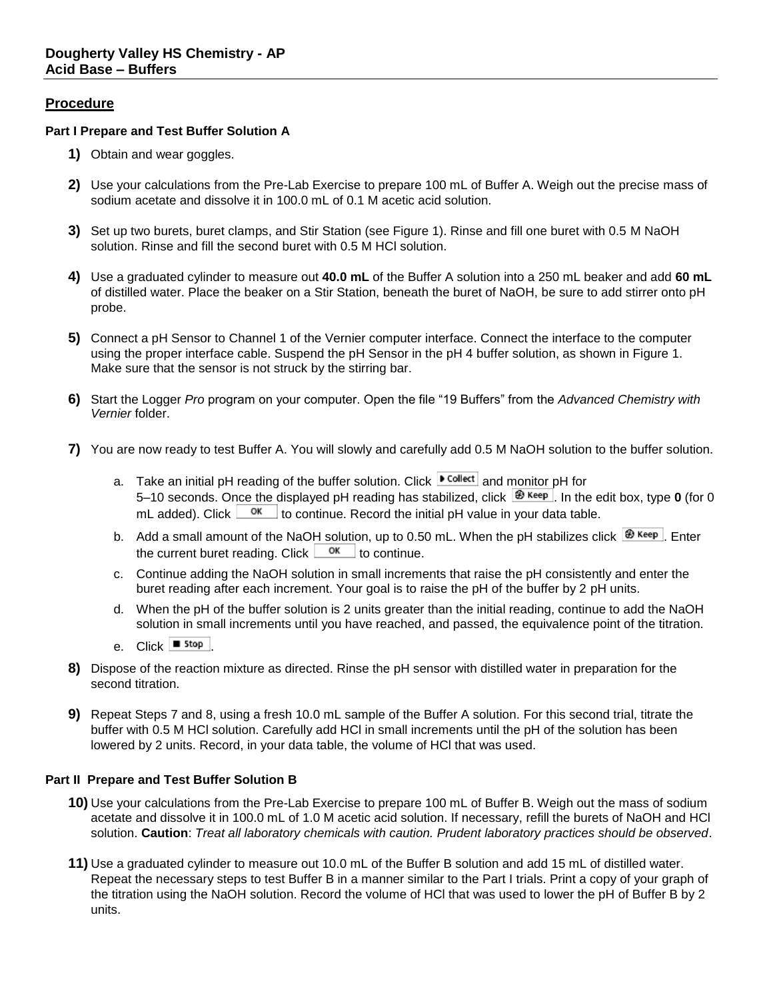## **Procedure**

### **Part I Prepare and Test Buffer Solution A**

- **1)** Obtain and wear goggles.
- **2)** Use your calculations from the Pre-Lab Exercise to prepare 100 mL of Buffer A. Weigh out the precise mass of sodium acetate and dissolve it in 100.0 mL of 0.1 M acetic acid solution.
- **3)** Set up two burets, buret clamps, and Stir Station (see Figure 1). Rinse and fill one buret with 0.5 M NaOH solution. Rinse and fill the second buret with 0.5 M HCl solution.
- **4)** Use a graduated cylinder to measure out **40.0 mL** of the Buffer A solution into a 250 mL beaker and add **60 mL** of distilled water. Place the beaker on a Stir Station, beneath the buret of NaOH, be sure to add stirrer onto pH probe.
- **5)** Connect a pH Sensor to Channel 1 of the Vernier computer interface. Connect the interface to the computer using the proper interface cable. Suspend the pH Sensor in the pH 4 buffer solution, as shown in Figure 1. Make sure that the sensor is not struck by the stirring bar.
- **6)** Start the Logger *Pro* program on your computer. Open the file "19 Buffers" from the *Advanced Chemistry with Vernier* folder.
- **7)** You are now ready to test Buffer A. You will slowly and carefully add 0.5 M NaOH solution to the buffer solution.
	- a. Take an initial pH reading of the buffer solution. Click  $\sqrt{\frac{P \text{ Collect}}{P}}$  and monitor pH for 5–10 seconds. Once the displayed pH reading has stabilized, click  $\mathbf{B}$  Keep In the edit box, type **0** (for 0 mL added). Click  $\frac{X}{X}$  to continue. Record the initial pH value in your data table.
	- b. Add a small amount of the NaOH solution, up to 0.50 mL. When the pH stabilizes click  $\bigcirc$  Keep . Enter the current buret reading. Click  $\frac{\alpha}{\alpha}$  to continue.
	- c. Continue adding the NaOH solution in small increments that raise the pH consistently and enter the buret reading after each increment. Your goal is to raise the pH of the buffer by 2 pH units.
	- d. When the pH of the buffer solution is 2 units greater than the initial reading, continue to add the NaOH solution in small increments until you have reached, and passed, the equivalence point of the titration.
	- e. Click **■** stop
- **8)** Dispose of the reaction mixture as directed. Rinse the pH sensor with distilled water in preparation for the second titration.
- **9)** Repeat Steps 7 and 8, using a fresh 10.0 mL sample of the Buffer A solution. For this second trial, titrate the buffer with 0.5 M HCl solution. Carefully add HCl in small increments until the pH of the solution has been lowered by 2 units. Record, in your data table, the volume of HCl that was used.

#### **Part II Prepare and Test Buffer Solution B**

- **10)** Use your calculations from the Pre-Lab Exercise to prepare 100 mL of Buffer B. Weigh out the mass of sodium acetate and dissolve it in 100.0 mL of 1.0 M acetic acid solution. If necessary, refill the burets of NaOH and HCl solution. **Caution**: *Treat all laboratory chemicals with caution. Prudent laboratory practices should be observed*.
- **11)** Use a graduated cylinder to measure out 10.0 mL of the Buffer B solution and add 15 mL of distilled water. Repeat the necessary steps to test Buffer B in a manner similar to the Part I trials. Print a copy of your graph of the titration using the NaOH solution. Record the volume of HCl that was used to lower the pH of Buffer B by 2 units.